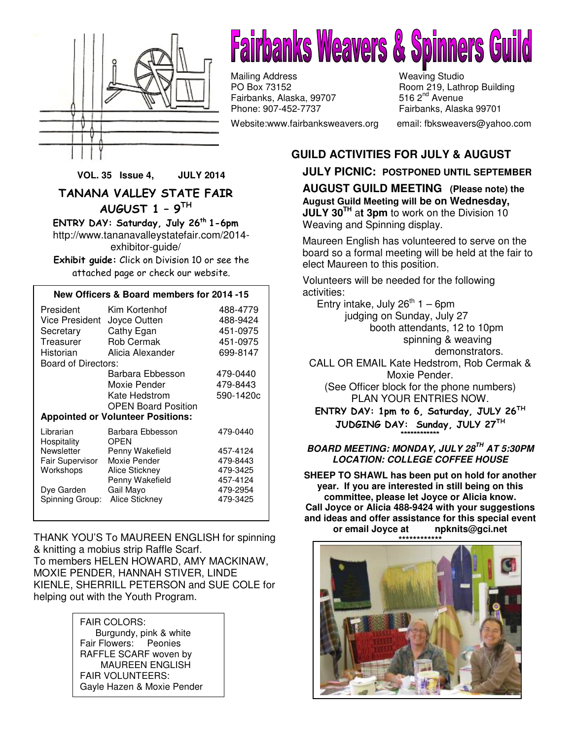



Mailing Address Meaving Studio<br>
PO Box 73152 Meaving Room 219, Lath Fairbanks, Alaska, 99707 Phone: 907-452-7737 Fairbanks, Alaska 99701

Website:www.fairbanksweavers.org email: fbksweavers@yahoo.com

Room 219, Lathrop Building<br>516 2<sup>nd</sup> Avenue

#### **GUILD ACTIVITIES FOR JULY & AUGUST**

#### **JULY PICNIC: POSTPONED UNTIL SEPTEMBER**

**AUGUST GUILD MEETING (Please note) the August Guild Meeting will be on Wednesday, JULY 30TH** a**t 3pm** to work on the Division 10 Weaving and Spinning display.

Maureen English has volunteered to serve on the board so a formal meeting will be held at the fair to elect Maureen to this position.

Volunteers will be needed for the following activities:

Entry intake, July  $26^{th}$  1 – 6pm judging on Sunday, July 27 booth attendants, 12 to 10pm spinning & weaving demonstrators.

CALL OR EMAIL Kate Hedstrom, Rob Cermak & Moxie Pender.

(See Officer block for the phone numbers) PLAN YOUR ENTRIES NOW.

ENTRY DAY: 1pm to 6, Saturday, JULY 26TH JUDGING DAY: Sunday, JULY 27TH \*\*\*\*\*\*\*\*\*\*\*\*

**BOARD MEETING: MONDAY, JULY 28TH AT 5:30PM LOCATION: COLLEGE COFFEE HOUSE** 

**SHEEP TO SHAWL has been put on hold for another year. If you are interested in still being on this committee, please let Joyce or Alicia know. Call Joyce or Alicia 488-9424 with your suggestions and ideas and offer assistance for this special event or email Joyce at npknits@gci.net** 



**VOL. 35 Issue 4, JULY 2014** 

TANANA VALLEY STATE FAIR AUGUST 1 – 9TH

ENTRY DAY: Saturday, July  $26<sup>th</sup> 1-6pm$ http://www.tananavalleystatefair.com/2014 exhibitor-guide/

Exhibit guide: Click on Division 10 or see the attached page or check our website.

#### **New Officers & Board members for 2014 -15**

| President<br>Vice President<br>Secretary<br>Treasurer<br>Historian<br>Board of Directors: | Kim Kortenhof<br>Joyce Outten<br>Cathy Egan<br><b>Rob Cermak</b><br>Alicia Alexander | 488-4779<br>488-9424<br>451-0975<br>451-0975<br>699-8147 |
|-------------------------------------------------------------------------------------------|--------------------------------------------------------------------------------------|----------------------------------------------------------|
|                                                                                           | Barbara Ebbesson                                                                     | 479-0440                                                 |
|                                                                                           | Moxie Pender                                                                         | 479-8443                                                 |
|                                                                                           | Kate Hedstrom                                                                        | 590-1420c                                                |
|                                                                                           | <b>OPEN Board Position</b>                                                           |                                                          |
| <b>Appointed or Volunteer Positions:</b>                                                  |                                                                                      |                                                          |
| Librarian<br>Hospitality                                                                  | Barbara Ebbesson<br><b>OPEN</b>                                                      | 479-0440                                                 |
| Newsletter                                                                                | Penny Wakefield                                                                      | 457-4124                                                 |
| Fair Supervisor                                                                           | Moxie Pender                                                                         | 479-8443                                                 |
| Workshops                                                                                 | Alice Stickney                                                                       | 479-3425                                                 |
|                                                                                           | Penny Wakefield                                                                      | 457-4124                                                 |
| Dye Garden                                                                                | Gail Mavo                                                                            | 479-2954                                                 |
| Spinning Group:                                                                           | <b>Alice Stickney</b>                                                                | 479-3425                                                 |
|                                                                                           |                                                                                      |                                                          |

THANK YOU'S To MAUREEN ENGLISH for spinning & knitting a mobius strip Raffle Scarf. To members HELEN HOWARD, AMY MACKINAW, MOXIE PENDER, HANNAH STIVER, LINDE KIENLE, SHERRILL PETERSON and SUE COLE for helping out with the Youth Program.

> FAIR COLORS: Burgundy, pink & white Fair Flowers: Peonies RAFFLE SCARF woven by MAUREEN ENGLISH FAIR VOLUNTEERS: Gayle Hazen & Moxie Pender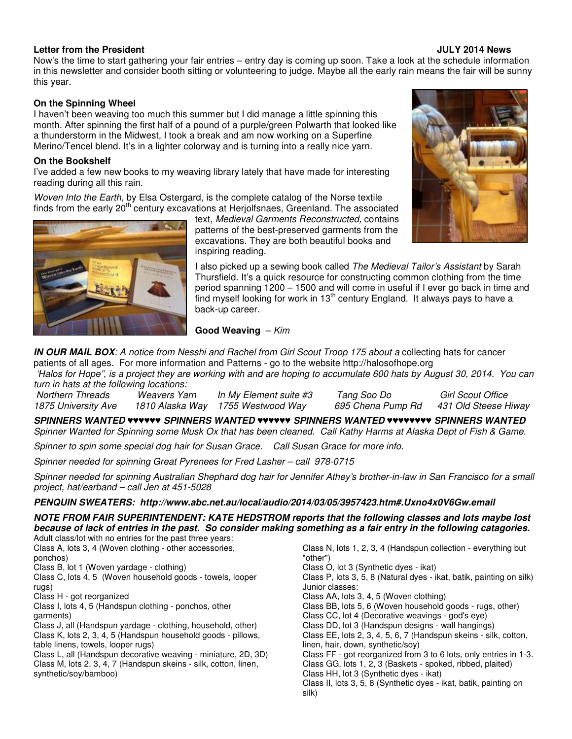#### **Letter from the President JULY 2014 News**

Now's the time to start gathering your fair entries – entry day is coming up soon. Take a look at the schedule information in this newsletter and consider booth sitting or volunteering to judge. Maybe all the early rain means the fair will be sunny this year.

#### **On the Spinning Wheel**

I haven't been weaving too much this summer but I did manage a little spinning this month. After spinning the first half of a pound of a purple/green Polwarth that looked like a thunderstorm in the Midwest, I took a break and am now working on a Superfine Merino/Tencel blend. It's in a lighter colorway and is turning into a really nice yarn.

#### **On the Bookshelf**

I've added a few new books to my weaving library lately that have made for interesting reading during all this rain.

Woven Into the Earth, by Elsa Ostergard, is the complete catalog of the Norse textile finds from the early  $20<sup>th</sup>$  century excavations at Herjolfsnaes, Greenland. The associated



text, Medieval Garments Reconstructed, contains patterns of the best-preserved garments from the excavations. They are both beautiful books and inspiring reading.

I also picked up a sewing book called The Medieval Tailor's Assistant by Sarah Thursfield. It's a quick resource for constructing common clothing from the time period spanning 1200 – 1500 and will come in useful if I ever go back in time and find myself looking for work in  $13<sup>th</sup>$  century England. It always pays to have a back-up career.

#### **Good Weaving** – Kim

**IN OUR MAIL BOX**: A notice from Nesshi and Rachel from Girl Scout Troop 175 about a collecting hats for cancer patients of all ages. For more information and Patterns - go to the website http://halosofhope.org

 'Halos for Hope", is a project they are working with and are hoping to accumulate 600 hats by August 30, 2014. You can turn in hats at the following locations:

Northern Threads Weavers Yarn In My Element suite #3 Tang Soo Do Girl Scout Office<br>1875 University Ave 1810 Alaska Way 1755 Westwood Way 695 Chena Pump Rd 431 Old Steese Hiway 1810 Alaska Way 1755 Westwood Way

**SPINNERS WANTED** ♥♥♥♥♥♥ **SPINNERS WANTED** ♥♥♥♥♥♥ **SPINNERS WANTED** ♥♥♥♥♥♥♥♥ **SPINNERS WANTED**  Spinner Wanted for Spinning some Musk Ox that has been cleaned. Call Kathy Harms at Alaska Dept of Fish & Game.

Spinner to spin some special dog hair for Susan Grace. Call Susan Grace for more info.

Spinner needed for spinning Great Pyrenees for Fred Lasher – call 978-0715

Spinner needed for spinning Australian Shephard dog hair for Jennifer Athey's brother-in-law in San Francisco for a small project, hat/earband – call Jen at 451-5028

#### **PENQUIN SWEATERS: http://www.abc.net.au/local/audio/2014/03/05/3957423.htm#.Uxno4x0V6Gw.email**

**NOTE FROM FAIR SUPERINTENDENT: KATE HEDSTROM reports that the following classes and lots maybe lost because of lack of entries in the past. So consider making something as a fair entry in the following catagories.**

Adult class/lot with no entries for the past three years: Class A, lots 3, 4 (Woven clothing - other accessories, ponchos) Class B, lot 1 (Woven yardage - clothing) Class C, lots 4, 5 (Woven household goods - towels, looper rugs) Class H - got reorganized Class I, lots 4, 5 (Handspun clothing - ponchos, other garments) Class J, all (Handspun yardage - clothing, household, other) Class K, lots 2, 3, 4, 5 (Handspun household goods - pillows, table linens, towels, looper rugs) Class L, all (Handspun decorative weaving - miniature, 2D, 3D) Class M, lots 2, 3, 4, 7 (Handspun skeins - silk, cotton, linen, synthetic/soy/bamboo)

Class N, lots 1, 2, 3, 4 (Handspun collection - everything but "other") Class O, lot 3 (Synthetic dyes - ikat) Class P, lots 3, 5, 8 (Natural dyes - ikat, batik, painting on silk) Junior classes: Class AA, lots 3, 4, 5 (Woven clothing) Class BB, lots 5, 6 (Woven household goods - rugs, other) Class CC, lot 4 (Decorative weavings - god's eye) Class DD, lot 3 (Handspun designs - wall hangings) Class EE, lots 2, 3, 4, 5, 6, 7 (Handspun skeins - silk, cotton, linen, hair, down, synthetic/soy) Class FF - got reorganized from 3 to 6 lots, only entries in 1-3. Class GG, lots 1, 2, 3 (Baskets - spoked, ribbed, plaited) Class HH, lot 3 (Synthetic dyes - ikat) Class II, lots 3, 5, 8 (Synthetic dyes - ikat, batik, painting on silk)

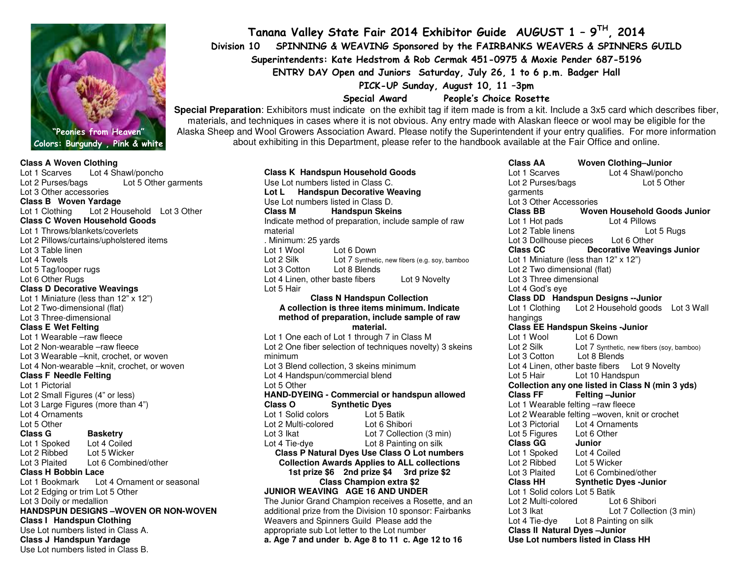

#### Colors: Burgundy , Pink & white

#### **Class A Woven Clothing**

 Lot 1 Scarves Lot 4 Shawl/poncho Lot 2 Purses/bags Lot 5 Other garments Lot 3 Other accessories **Class B Woven Yardage**  Lot 1 Clothing Lot 2 Household Lot 3 Other **Class C Woven Household Goods** Lot 1 Throws/blankets/coverlets Lot 2 Pillows/curtains/upholstered items Lot 3 Table linen Lot 4 Towels Lot 5 Tag/looper rugs Lot 6 Other Rugs **Class D Decorative Weavings** Lot 1 Miniature (less than 12" x 12") Lot 2 Two-dimensional (flat) Lot 3 Three-dimensional **Class E Wet Felting**  Lot 1 Wearable –raw fleece Lot 2 Non-wearable –raw fleece Lot 3 Wearable –knit, crochet, or woven Lot 4 Non-wearable –knit, crochet, or woven **Class F Needle Felting** Lot 1 Pictorial Lot 2 Small Figures (4" or less) Lot 3 Large Figures (more than 4") Lot 4 Ornaments Lot 5 Other **Class G Basketry** Lot 4 Coiled Lot 1 Spoked Lot 5 Wicker Lot 2 Ribbed Lot 3 Plaited Lot 6 Combined/other **Class H Bobbin Lace** Lot 1 Bookmark Lot 4 Ornament or seasonal Lot 2 Edging or trim Lot 5 Other Lot 3 Doily or medallion **HANDSPUN DESIGNS –WOVEN OR NON-WOVEN Class I Handspun Clothing**  Use Lot numbers listed in Class A. **Class J Handspun Yardage** Use Lot numbers listed in Class B.

Tanana Valley State Fair 2014 Exhibitor Guide AUGUST 1 – 9TH, <sup>2014</sup> Division 10 SPINNING & WEAVING Sponsored by the FAIRBANKS WEAVERS & SPINNERS GUILD Superintendents: Kate Hedstrom & Rob Cermak 451-0975 & Moxie Pender 687-5196 ENTRY DAY Open and Juniors Saturday, July 26, 1 to 6 p.m. Badger Hall PICK-UP Sunday, August 10, 11 –3pm

Special Award People's Choice Rosette

 **Special Preparation**: Exhibitors must indicate on the exhibit tag if item made is from a kit. Include a 3x5 card which describes fiber, materials, and techniques in cases where it is not obvious. Any entry made with Alaskan fleece or wool may be eligible for the Alaska Sheep and Wool Growers Association Award. Please notify the Superintendent if your entry qualifies. For more information about exhibiting in this Department, please refer to the handbook available at the Fair Office and online.

> **Class K Handspun Household Goods** Use Lot numbers listed in Class C. **Lot L Handspun Decorative Weaving** Use Lot numbers listed in Class D. **Class M Handspun Skeins**  Indicate method of preparation, include sample of raw material . Minimum: 25 yards Lot 1 Wool Lot 6 Down Lot 2 Silk Lot 7 Synthetic, new fibers (e.g. soy, bambooLot 3 Cotton Lot 8 BlendsLot 4 Linen, other baste fibers Lot 9 Novelty Lot 5 Hair **Class N Handspun Collection A collection is three items minimum. Indicate method of preparation, include sample of raw material.**  Lot 1 One each of Lot 1 through 7 in Class M Lot 2 One fiber selection of techniques novelty) 3 skeins minimum Lot 3 Blend collection, 3 skeins minimum Lot 4 Handspun/commercial blend Lot 5 Other **HAND-DYEING - Commercial or handspun allowed Class O Synthetic Dyes** Lot 5 Batik Lot 1 Solid colors Lot 6 Shibori Lot 2 Multi-colored Lot 3 Ikat Lot 7 Collection (3 min) Lot 4 Tie-dye Lot 8 Painting on silk **Class P Natural Dyes Use Class O Lot numbers Collection Awards Applies to ALL collections 1st prize \$6 2nd prize \$4 3rd prize \$2 Class Champion extra \$2 JUNIOR WEAVING AGE 16 AND UNDER**  The Junior Grand Champion receives a Rosette, and an additional prize from the Division 10 sponsor: Fairbanks Weavers and Spinners Guild Please add the appropriate sub Lot letter to the Lot number **a. Age 7 and under b. Age 8 to 11 c. Age 12 to 16**

Lot 1 Scarves Lot 4 Shawl/poncho Lot 5 Other Lot 2 Purses/bags garments Lot 3 Other Accessories **Class BB Woven Household Goods Junior** Lot 1 Hot pads Lot 4 Pillows Lot 5 Rugs Lot 2 Table linens Lot 3 Dollhouse pieces Lot 6 Other<br>Class CC Decorative Weav **Class CC Decorative Weavings Junior**Lot 1 Miniature (less than 12" x 12") Lot 2 Two dimensional (flat) Lot 3 Three dimensional Lot 4 God's eye **Class DD Handspun Designs --Junior**  Lot 1 Clothing Lot 2 Household goods Lot 3 Wallhangings **Class EE Handspun Skeins -Junior** Lot 1 Wool Lot 6 Down Lot 2 Silk Lot 7 Synthetic, new fibers (soy, bamboo) Lot 3 Cotton Lot 8 Blends Lot 4 Linen, other baste fibers Lot 9 Novelty Lot 5 Hair Lot 10 Handspun **Collection any one listed in Class N (min 3 yds) Class FF** Felting -Junior Lot 1 Wearable felting –raw fleece Lot 2 Wearable felting –woven, knit or crochet Lot 3 Pictorial Lot 4 Ornaments Lot 5 Figures Lot 6 Other<br>Class GG Junior **Class GG** Lot 4 Coiled Lot 1 Spoked Lot 2 Ribbed Lot 5 Wicker Lot 3 Plaited Lot 6 Combined/other **Class HH Synthetic Dyes -Junior** Lot 1 Solid colors Lot 5 Batik Lot 6 Shibori Lot 2 Multi-colored Lot 3 Ikat Lot 7 Collection (3 min) Lot 4 Tie-dye Lot 8 Painting on silk **Class II Natural Dyes –Junior Use Lot numbers listed in Class HH**

**Class AA Woven Clothing–Junior**